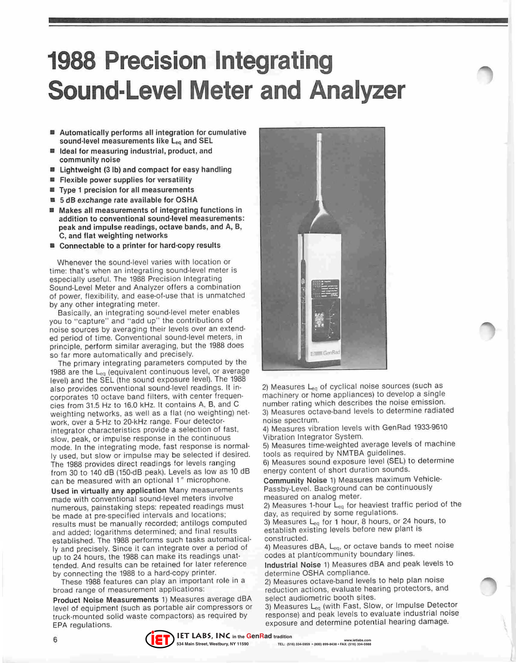## **1988 Precision Integrating Sound-Level Meter and Analyzer**

- **Automatically performs all integration for cumulative**  sound-level measurements like L<sub>eq</sub> and SEL
- Ideal for measuring industrial, product, and **community noise**
- Lightweight (3 lb) and compact for easy handling
- **Flexible power supplies for versatility**
- **Type 1 precision for all measurements**
- 5 dB exchange rate available for OSHA
- Makes all measurements of integrating functions in **addition to conventional sound-level measurements:**  peak and impulse readings, octave bands, and A, B, C, and flat weighting networks
- Connectable to a printer for hard-copy results

**W henever the sound-level varies with location or time: that's when an integrating sound-level meter is**  especially useful. The 1988 Precision Integrating Sound· Level Meter and Analyzer offers a combination of power, flexibility, and ease-of-use that is unmatched by any other integrating meter.

Basically, an integrating sound·level meter enables you to "capture" and "add up" the contributions of noise sources by averaging their levels over an extended period of time. Conventional sound-level meters, in principle, perform similar averaging, but Ihe 1988 does so far more automatically and precisely.

The primary integrating parameters computed by the 1988 are the Leq (equivalent continuous level, or average level) and the SEL (the sound exposure level). The 1988 **also provides conventional sound-level readings. It in**corporates 10 octave band filters, with center frequencies from 31.5 Hz to 16.0 kHz. It contains A, B, and C weighting networks. as well as a flat (no weighting) nel· work, over a 5·Hz to 20·kHz range. Four detector· integrator characteristics provide a selection of fast, **slow, peak, or impulse response in the continuous**  mode. In the integrating mode, fast response is normal-Iy used, but slow or impulse may be selected if desired. The 1988 provides direct readings for levels ranging from 30 to 140 dB (150·dB peak). Levels as low as 10 dB **can be measured with an optional 1" microphone.** 

**Used in virtually any application** Many measurements **made with conventional sound-level meters involve**  numerous, painstaking steps: repeated readings must be made at pre-specified intervals and locations; results must be manually recorded; antilogs computed and added; logarithms determined; and final results established. The 1988 performs such tasks automatical· **Iy and precisely. Since it can integrate over a period of**  up to 24 hours, the 1988 can make its readings unat**tended. And results can be retained for laler reference**  by connecting the 1988 to a hard·copy printer.

These 1988 features can play an important role in a **broad range of measurement applications:** 

**Product Noise Measurements 1) Measures average dBA**  level of equipment (such as portable air compressors or truck·mounted solid waste compactors) as required by EPA regulations.



2) Measures Leq of cyclical noise sources (such as machinery or home appliances) to develop a single **number rating which describes the noise emission.**  3) Measures octave-band levels to determine radiated **noise spectrum.** 

4) Measures vibration levels with GenRad 1933·9610 Vibration Integrator System.

5) Measures time·weighted average levels of machine tools as required by NMTBA guidelines.

6) Measures sound exposure level (SEL) to determine energy content of short duration sounds.

Community Noise 1) Measures maximum Vehicle-Passby-Level. Background can be continuously **measured on analog meter.** 

2) Measures 1-hour L<sub>eg</sub> for heaviest traffic period of the **day, as required by some regulations.** 

3) Measures  $L_{eq}$  for 1 hour, 8 hours, or 24 hours, to establish existing levels before new plant is constructed.

4) Measures dBA, L<sub>eq</sub>, or octave bands to meet noise codes at plant/community boundary lines.

Industrial Noise 1) Measures dBA and peak levels to determine OSHA compliance.

2) Measures octave·band levels to help plan noise reduction actions, evaluate hearing protectors, and select audiometric booth sites.

3) Measures L<sub>eq</sub> (with Fast, Slow, or Impulse Detector response) and peak levels to evaluate industrial noise exposure and determine potential hearing damage.



**534 Main Street, Westbury, NY 11590 www.ietlabs.com TEL: (516) 334-5959 • (800) 899-8438 • FAX: (516) 334-5988**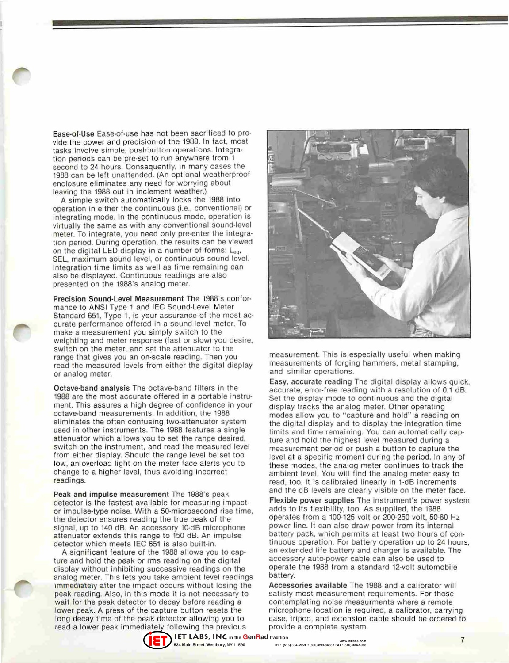Ease·of·Use Ease·of·use has not been sacrificed to pro· vide the power and precision of the 1988. In fact, most tasks involve simple, pushbutton operations. Integra· tion periods can be pre·set to run anywhere from 1 second to 24 hours. Consequently, in many cases the 1988 can be left unattended. (An optional weatherproof **enclosure eliminates any need for worrying about**  leaving the 1988 out in inclement weather.)

A simple switch automatically locks the 1988 into operation in either the continuous (i.e., conventional) or **integrating mode. In the continuous mode, operation is**  virtually the same as with any conventional sound·level meter. To integrate, you need only pre-enter the integra**tion period. During operation, the results can be viewed**  on the digital LED display in a number of forms: Leq. **SEL, maximum sound level, or continuous sound level. Integration time limits as well as time remaining can**  also be displayed. Continuous readings are also presented on the 1988's analog meter.

Precision Sound-Level Measurement The 1988's conformance to ANSI Type 1 and IEC Sound·Level Meter Standard 651, Type 1, is your assurance of the most ac· **curate performance offered in a sound-level meter. To**  make a measurement you simply switch to the weighting and meter response (fast or slow) you desire, switch on the meter, and set the attenuator to the range that gives you an on-scale reading. Then you read the measured levels from either the digital display **or analog meter.** 

Octave·band analysis The octave·band filters in the 1988 are the most accurate offered in a portable instru· ment. This assures a high degree of confidence in your octave·band measurements. In addition, the 1988 eliminates the often confusing two·attenuator system used in other instruments. The 1988 features a single attenuator which allows you to set the range desired, switch on the instrument, and read the measured level from either display. Should the range level be set too low, an overload light on the meter face alerts you to change to a higher level, thus avoiding incorrect readings.

Peak and impulse measurement The 1988's peak detector is the fastest available for measuring impactor impulse·type noise. With a 50·microsecond rise time, the detector ensures reading the true peak of the signal, up to 140 dB. An accessory 10·dB microphone attenuator extends this range to 150 dB. An impulse detector which meets IEC 651 is also built·in.

A significant feature of the 1988 allows you to cap· ture and hold the peak or rms reading on the digital display without inhibiting successive readings on the analog meter. This lets you take ambient level readings immediately after the impact occurs without losing the peak reading. Also, in this mode it is not necessary to wait for the peak detector to decay before reading a lower peak. A press of the capture button resets the long decay time of the peak detector allowing you to read a lower peak immediately following the previous



measurement. This is especially useful when making **measurements of forging hammers, metal stamping, and similar operations.** 

Easy, accurate reading The digital display allows quick, accurate, error-free reading with a resolution of 0.1 dB. Set the display mode to continuous and the digital display tracks the analog meter. Other operating modes allow you to "capture and hold" a reading on the digital display and to display the integration time limits and time remaining. You can automatically capture and hold the highest level measured during a measurement period or push a button to capture the level at a specific moment during the period. In any of these modes, the analog meter continues to track the ambient level. You will find the analog meter easy to read, too. It is calibrated linearly in 1·dB increments and the dB levels are clearly visible on the meter face.

Flexible power supplies The instrument's power system adds to its flexibility, too. As supplied, the 1988 operates from a 100·125 volt or 200·250 volt, 50·60 Hz power line. It can also draw power from its internal **battery pack, which permits at least two hours of con·**  tinuous operation. For battery operation up to 24 hours, an extended life battery and charger is available. The accessory auto·power cable can also be used to operate the 1988 from a standard 12·volt automobile battery.

Accessories available The 1988 and a calibrator will satisfy most measurement requirements. For those **contemplating noise measurments where a remote**  microphone location is required, a calibrator, carrying case, tripod, and extension cable should be ordered to provide a complete system.



**www.ietlabs.com TEL: (516) 334-5959 • (800) 899-8438 • FAX: (516) 334-5988**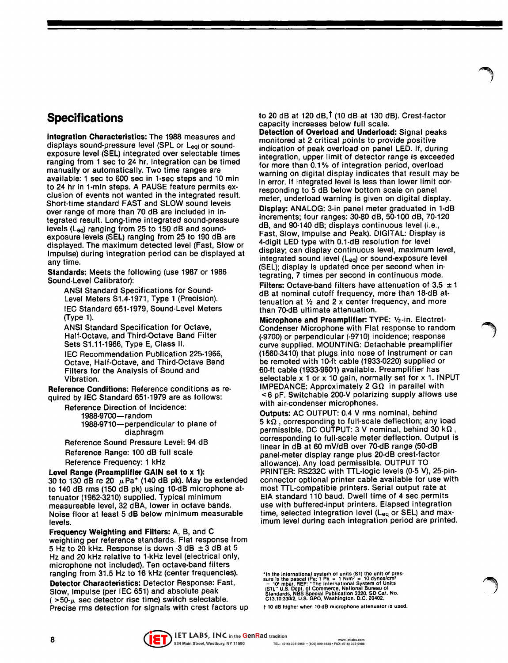## **Specifications**

Integration Characteristics: The 1988 measures and displays sound-pressure level (SPL or Leq) or soundexposure level (SEL) integrated over selectable times ranging from 1 sec to 24 hr. Integration can be timed manually or automatically. Two time ranges are available: 1 sec to 600 sec in 1-sec steps and 10 min to 24 hr in 1-min steps. A PAUSE feature permits exclusion of events not wanted in the integrated result. Short-time standard FAST and SLOW sound levels over range of more than 70 dB are included in integrated result. Long-time integrated sound-pressure levels (Leq) ranging from 25 to 150 dB and soundexposure levels (SEL) ranging from 25 to 190 dB are displayed. The maximum detected level (Fast, Slow or Impulse) during integration period can be displayed at any time.

Standards: Meets the following (use 1987 or 1986 Sound-Level Calibrator):

ANSI Standard Specifications for Sound-Level Meters S1.4-1971, Type 1 (Precision). IEC Standard 651-1979, Sound-Level Meters (Type 1).

ANSI Standard Specification for Octave, Half-Octave, and Third-Octave Band Filter Sets S1.11-1966, Type E, Class II.

IEC Recommendation Publication 225-1966, Octave, Half-Octave, and Third-Octave Band Filters for the Analysis of Sound and Vibration.

Reference Conditions: Reference conditions as required by IEC Standard 651-1979 are as follows:

Reference Direction of Incidence: 1988-9700-random

1988-9710-perpendicular to plane of diaphragm

Reference Sound Pressure Level: 94 dB Reference Range: 100 dB full scale Reference Frequency: 1 kHz

Level Range (Preamplifier GAIN set to x 1): 30 to 130 dB re 20  $\mu$ Pa\* (140 dB pk). May be extended to 140 dB rms (150 dB pk) using 10·dB microphone attenuator (1962·3210) supplied. Typical minimum measureable level, 32 dBA, lower in octave bands. Noise floor at least 5 dB below minimum measurable levels.

Frequency Weighting and Filters: A, B, and C weighting per reference standards. Flat response from 5 Hz to 20 kHz. Response is down -3 dB  $\pm$  3 dB at 5 Hz and 20 kHz relative to 1-kHz level (electrical only, microphone not included). Ten octave-band filters ranging from 31.5 Hz to 16 kHz (center frequencies). Detector Characteristics: Detector Response: Fast,

Slow, Impulse (per IEC 651) and absolute peak  $($  >50- $\mu$  sec detector rise time) switch selectable. Precise rms detection for signals with crest factors up to 20 dB at 120 dB,  $\dagger$  (10 dB at 130 dB). Crest-factor capacity increases below full scale.

Detection of Overload and Underload: Signal peaks monitored at 2 critical points to provide positive indication of peak overload on panel LED. If, during integration, upper limit of detector range is exceeded for more than 0.1% of integration period, overload warning on digital display indicates that result may be in error. If integrated level is less than lower limit corresponding to 5 dB below bottom scale on panel meter, underload warning is given on digital display. Display: ANALOG: 3-in panel meter graduated in 1·dB increments; four ranges: 30-80 dB, 50-100 dB, 70-120 dB, and 90-140 dB; displays continuous level (i.e., Fast, Slow, Impulse and Peak). DIGITAL: Display is 4-digit LED type with 0.1-dB resolution for level display; can display continuous level, maximum level, integrated sound level (L<sub>eg</sub>) or sound-exposure level (SEL); display is updated once per second when integrating, 7 times per second in continuous mode.

Filters: Octave-band filters have attenuation of 3.5  $\pm$  1 dB at nominal cutoff frequency, more than 18-dB at· tenuation at  $\frac{1}{2}$  and 2 x center frequency, and more than 70·dB ultimate attenuation.

Microphone and Preamplifier: TYPE: %-in. Electret· Condenser Microphone with Flat response to random (-9700) or perpendicular (-9710) incidence; response curve supplied. MOUNTING: Detachable preamplifier (1560-3410) that plugs into nose of instrument or can be remoted with 10-ft cable (1933-0220) supplied or 60-ft cable (1933-9601) available. Preamplifier has selectable x 1 or x 10 gain, normally set for x 1. INPUT IMPEDANCE: Approximately 2 G $\Omega$  in parallel with < 6 pF. Switchable 200-V polarizing supply allows use with air-condenser microphones.

Outputs: AC OUTPUT: 0.4 V rms nominal, behind  $5 k\Omega$ , corresponding to full-scale deflection; any load permissible. DC OUTPUT: 3 V nominal, behind 30 k $\Omega$ , corresponding to full-scale meter deflection. Output is linear in dB at 60 mV/dB over 70-dB range (50-dB panel-meter display range plus 20-dB crest·factor allowance). Any load permissible. OUTPUT TO PRINTER: RS232C with TTL-logic levels (0·5 V), 25-pinconnector optional printer cable available for use with most TTL-compatible printers. Serial output rate at EIA standard 110 baud. Dwell time of 4 sec permits use with buffered·input printers. Elapsed integration time, selected integration level ( $L_{eq}$  or SEL) and maximum level during each integration period are printed.

"In the international system of units (S1) the unit of pressure is the pascal (Pa; 1 Pa = 1 N/m<sup>2</sup> = 10 dynes/cm<sup>-</sup><br>= 10<sup>2</sup> mbar, REF: "The International System of Units<br>= 10<sup>2</sup> mbar, REF: "The International System of Uni

t 10 dB higher when 10·dB microphone attenuator is used.